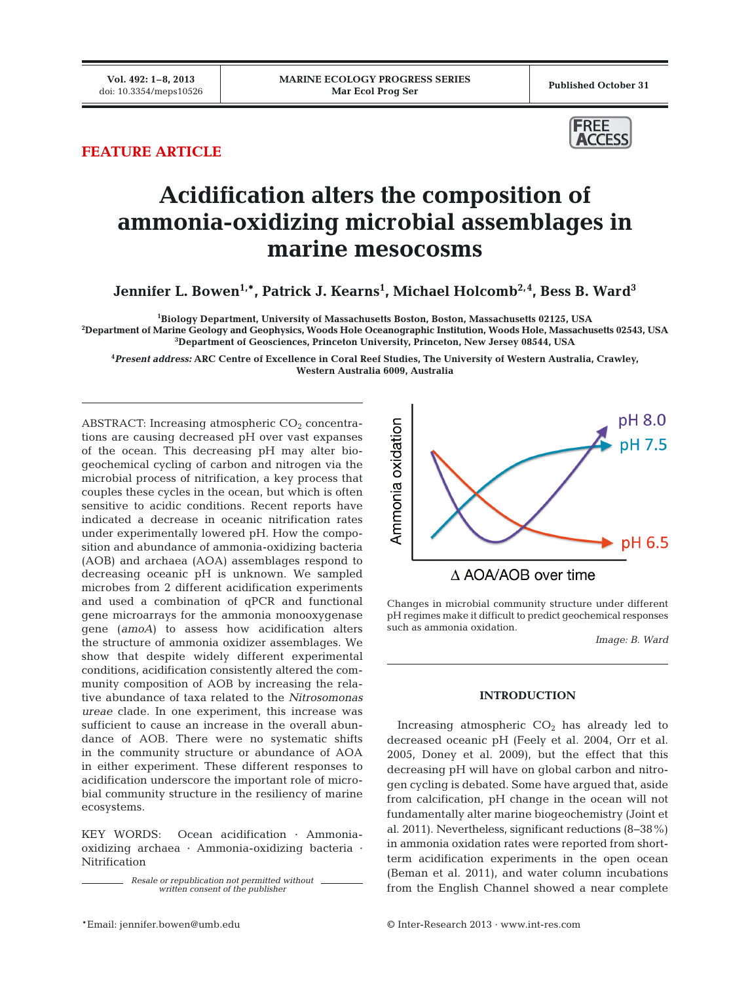## **FEATURE ARTICLE**



# **Acidification alters the composition of ammonia-oxidizing microbial assemblages in marine mesocosms**

**Jennifer L. Bowen1,\*, Patrick J. Kearns1 , Michael Holcomb2,4, Bess B. Ward3**

**1 Biology Department, University of Massachusetts Boston, Boston, Massachusetts 02125, USA**

**2 Department of Marine Geology and Geophysics, Woods Hole Oceanographic Institution, Woods Hole, Massachusetts 02543, USA 3 Department of Geosciences, Princeton University, Princeton, New Jersey 08544, USA**

**4** *Present address:* **ARC Centre of Excellence in Coral Reef Studies, The University of Western Australia, Crawley, Western Australia 6009, Australia**

ABSTRACT: Increasing atmospheric  $CO<sub>2</sub>$  concentrations are causing decreased pH over vast expanses of the ocean. This decreasing pH may alter bio geochemical cycling of carbon and nitrogen via the microbial process of nitrification, a key process that couples these cycles in the ocean, but which is often sensitive to acidic conditions. Recent reports have indicated a decrease in oceanic nitrification rates under experimentally lowered pH. How the composition and abundance of ammonia-oxidizing bacteria (AOB) and archaea (AOA) assemblages respond to decreasing oceanic pH is unknown. We sampled microbes from 2 different acidification experiments and used a combination of qPCR and functional gene microarrays for the ammonia monooxygenase gene (*amoA*) to assess how acidification alters the structure of ammonia oxidizer assemblages. We show that despite widely different experimental conditions, acidification consistently altered the community composition of AOB by increasing the relative abundance of taxa related to the *Nitrosomonas ureae* clade. In one experiment, this increase was sufficient to cause an increase in the overall abundance of AOB. There were no systematic shifts in the community structure or abundance of AOA in either experiment. These different responses to acidification underscore the important role of microbial community structure in the resiliency of marine ecosystems.

KEY WORDS: Ocean acidification · Ammoniaoxidizing archaea · Ammonia-oxidizing bacteria · Nitrification

> *Resale or republication not permitted without written consent of the publisher*



Changes in microbial community structure under different pH regimes make it difficult to predict geochemical responses such as ammonia oxidation.

*Image: B. Ward*

### **INTRODUCTION**

Increasing atmospheric  $CO<sub>2</sub>$  has already led to decreased oceanic pH (Feely et al. 2004, Orr et al. 2005, Doney et al. 2009), but the effect that this decreasing pH will have on global carbon and nitrogen cycling is debated. Some have argued that, aside from calcification, pH change in the ocean will not fundamentally alter marine biogeochemistry (Joint et al. 2011). Nevertheless, significant reductions (8−38%) in ammonia oxidation rates were reported from shortterm acidification experiments in the open ocean (Beman et al. 2011), and water column incubations from the English Channel showed a near complete

\*Email: jennifer.bowen@umb.edu © Inter-Research 2013 · www.int-res.com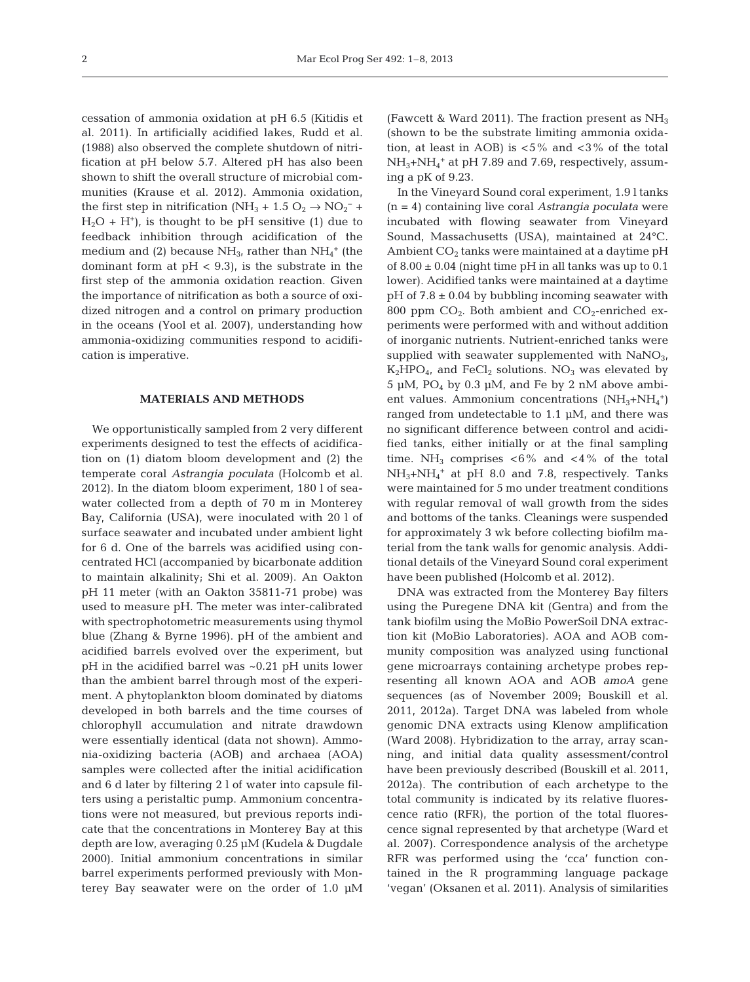cessation of ammonia oxidation at pH 6.5 (Kitidis et al. 2011). In artificially acidified lakes, Rudd et al. (1988) also observed the complete shutdown of nitrification at pH below 5.7. Altered pH has also been shown to shift the overall structure of microbial communities (Krause et al. 2012). Ammonia oxidation, the first step in nitrification (NH<sub>3</sub> + 1.5 O<sub>2</sub>  $\rightarrow$  NO<sub>2</sub><sup>-</sup> +  $H_2O + H^+$ , is thought to be pH sensitive (1) due to feedback inhibition through acidification of the medium and (2) because  $NH_3$ , rather than  $NH_4^+$  (the dominant form at  $pH < 9.3$ ), is the substrate in the first step of the ammonia oxidation reaction. Given the importance of nitrification as both a source of oxidized nitrogen and a control on primary production in the oceans (Yool et al. 2007), understanding how ammonia-oxidizing communities respond to acidification is imperative.

### **MATERIALS AND METHODS**

We opportunistically sampled from 2 very different experiments designed to test the effects of acidification on (1) diatom bloom development and (2) the temperate coral *Astrangia poculata* (Holcomb et al. 2012). In the diatom bloom experiment, 180 l of seawater collected from a depth of 70 m in Monterey Bay, California (USA), were inoculated with 20 l of surface seawater and incubated under ambient light for 6 d. One of the barrels was acidified using concentrated HCl (accompanied by bicarbonate addition to maintain alkalinity; Shi et al. 2009). An Oakton pH 11 meter (with an Oakton 35811-71 probe) was used to measure pH. The meter was inter-calibrated with spectrophotometric measurements using thymol blue (Zhang & Byrne 1996). pH of the ambient and acidified barrels evolved over the experiment, but pH in the acidified barrel was ~0.21 pH units lower than the ambient barrel through most of the experiment. A phytoplankton bloom dominated by diatoms developed in both barrels and the time courses of chlorophyll accumulation and nitrate drawdown were essentially identical (data not shown). Ammonia-oxidizing bacteria (AOB) and archaea (AOA) samples were collected after the initial acidification and 6 d later by filtering 2 l of water into capsule filters using a peristaltic pump. Ammonium concentrations were not measured, but previous reports indicate that the concentrations in Monterey Bay at this depth are low, averaging 0.25 µM (Kudela & Dugdale 2000). Initial ammonium concentrations in similar barrel experiments performed previously with Monterey Bay seawater were on the order of 1.0 µM (Fawcett & Ward 2011). The fraction present as  $NH<sub>3</sub>$ (shown to be the substrate limiting ammonia oxidation, at least in AOB) is  $< 5\%$  and  $< 3\%$  of the total NH3+NH4 <sup>+</sup> at pH 7.89 and 7.69, respectively, assuming a pK of 9.23.

In the Vineyard Sound coral experiment, 1.9 l tanks (n = 4) containing live coral *Astrangia poculata* were incubated with flowing seawater from Vineyard Sound, Massachusetts (USA), maintained at 24°C. Ambient  $CO<sub>2</sub>$  tanks were maintained at a daytime pH of  $8.00 \pm 0.04$  (night time pH in all tanks was up to 0.1) lower). Acidified tanks were maintained at a daytime  $pH$  of 7.8  $\pm$  0.04 by bubbling incoming seawater with 800 ppm  $CO<sub>2</sub>$ . Both ambient and  $CO<sub>2</sub>$ -enriched experiments were performed with and without addition of inorganic nutrients. Nutrient-enriched tanks were supplied with seawater supplemented with  $NaNO<sub>3</sub>$ ,  $K_2HPO_4$ , and FeCl<sub>2</sub> solutions. NO<sub>3</sub> was elevated by 5 µM,  $PO_4$  by 0.3 µM, and Fe by 2 nM above ambient values. Ammonium concentrations (NH<sub>3</sub>+NH<sub>4</sub><sup>+</sup>) ranged from undetectable to 1.1 µM, and there was no significant difference between control and acidified tanks, either initially or at the final sampling time. NH<sub>3</sub> comprises  $<6\%$  and  $<4\%$  of the total  $NH<sub>3</sub>+NH<sub>4</sub><sup>+</sup>$  at pH 8.0 and 7.8, respectively. Tanks were maintained for 5 mo under treatment conditions with regular removal of wall growth from the sides and bottoms of the tanks. Cleanings were suspended for approximately 3 wk before collecting biofilm material from the tank walls for genomic analysis. Additional details of the Vineyard Sound coral experiment have been published (Holcomb et al. 2012).

DNA was extracted from the Monterey Bay filters using the Puregene DNA kit (Gentra) and from the tank biofilm using the MoBio PowerSoil DNA extraction kit (MoBio Laboratories). AOA and AOB community composition was analyzed using functional gene microarrays containing archetype probes representing all known AOA and AOB *amoA* gene sequences (as of November 2009; Bouskill et al. 2011, 2012a). Target DNA was labeled from whole genomic DNA extracts using Klenow amplification (Ward 2008). Hybridization to the array, array scanning, and initial data quality assessment/control have been previously described (Bouskill et al. 2011, 2012a). The contribution of each archetype to the total community is indicated by its relative fluorescence ratio (RFR), the portion of the total fluorescence signal represented by that archetype (Ward et al. 2007). Correspondence analysis of the archetype RFR was performed using the 'cca' function contained in the R programming language package 'vegan' (Oksanen et al. 2011). Analysis of similarities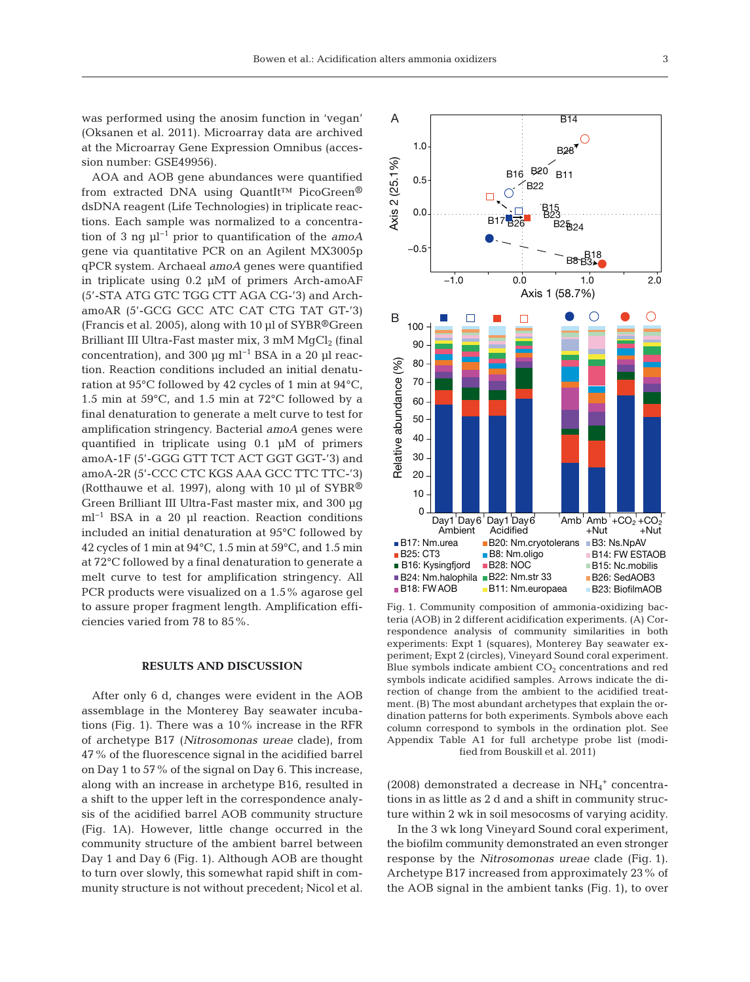was performed using the anosim function in 'vegan' (Oksanen et al. 2011). Microarray data are archived at the Microarray Gene Expression Omnibus (accession number: GSE49956).

AOA and AOB gene abundances were quantified from extracted DNA using QuantIt™ PicoGreen® dsDNA reagent (Life Technologies) in triplicate reactions. Each sample was normalized to a concentration of 3 ng µl−1 prior to quantification of the *amoA* gene via quantitative PCR on an Agilent MX3005p qPCR system. Archaeal *amoA* genes were quantified in triplicate using 0.2 µM of primers Arch-amoAF (5'-STA ATG GTC TGG CTT AGA CG-'3) and ArchamoAR (5'-GCG GCC ATC CAT CTG TAT GT-'3) (Francis et al. 2005), along with 10 µl of SYBR®Green Brilliant III Ultra-Fast master mix,  $3 \text{ mM } MqCl_2$  (final concentration), and 300 µg ml−1 BSA in a 20 µl reaction. Reaction conditions included an initial denaturation at 95°C followed by 42 cycles of 1 min at 94°C, 1.5 min at 59°C, and 1.5 min at 72°C followed by a final denaturation to generate a melt curve to test for amplification stringency. Bacterial *amoA* genes were quantified in triplicate using 0.1 µM of primers amoA-1F (5'-GGG GTT TCT ACT GGT GGT-'3) and amoA-2R (5'-CCC CTC KGS AAA GCC TTC TTC-'3) (Rotthauwe et al. 1997), along with 10 µl of SYBR® Green Brilliant III Ultra-Fast master mix, and 300 µg ml−1 BSA in a 20 µl reaction. Reaction conditions included an initial denaturation at 95°C followed by 42 cycles of 1 min at  $94^{\circ}$ C, 1.5 min at  $59^{\circ}$ C, and 1.5 min at 72°C followed by a final denaturation to generate a melt curve to test for amplification stringency. All PCR products were visualized on a 1.5% agarose gel to assure proper fragment length. Amplification efficiencies varied from 78 to 85%.

#### **RESULTS AND DISCUSSION**

After only 6 d, changes were evident in the AOB assemblage in the Monterey Bay seawater incubations (Fig. 1). There was a 10% increase in the RFR of archetype B17 (*Nitrosomonas ureae* clade), from 47% of the fluorescence signal in the acidified barrel on Day 1 to 57% of the signal on Day 6. This increase, along with an increase in archetype B16, resulted in a shift to the upper left in the correspondence analysis of the acidified barrel AOB community structure (Fig. 1A). However, little change occurred in the community structure of the ambient barrel between Day 1 and Day 6 (Fig. 1). Although AOB are thought to turn over slowly, this somewhat rapid shift in community structure is not without precedent; Nicol et al.



Fig. 1. Community composition of ammonia-oxidizing bacteria (AOB) in 2 different acidification experiments. (A) Cor respondence analysis of community similarities in both experiments: Expt 1 (squares), Monterey Bay seawater experiment; Expt 2 (circles), Vineyard Sound coral experiment. Blue symbols indicate ambient  $CO<sub>2</sub>$  concentrations and red symbols indicate acidified samples. Arrows indicate the direction of change from the ambient to the acidified treatment. (B) The most abundant archetypes that explain the ordination patterns for both experiments. Symbols above each column correspond to symbols in the ordination plot. See Appendix Table A1 for full archetype probe list (modified from Bouskill et al. 2011)

(2008) demonstrated a decrease in  $\mathrm{NH_4}^+$  concentrations in as little as 2 d and a shift in community structure within 2 wk in soil mesocosms of varying acidity.

In the 3 wk long Vineyard Sound coral experiment, the biofilm community demonstrated an even stronger response by the *Nitrosomonas ureae* clade (Fig. 1). Archetype B17 increased from approximately 23% of the AOB signal in the ambient tanks (Fig. 1), to over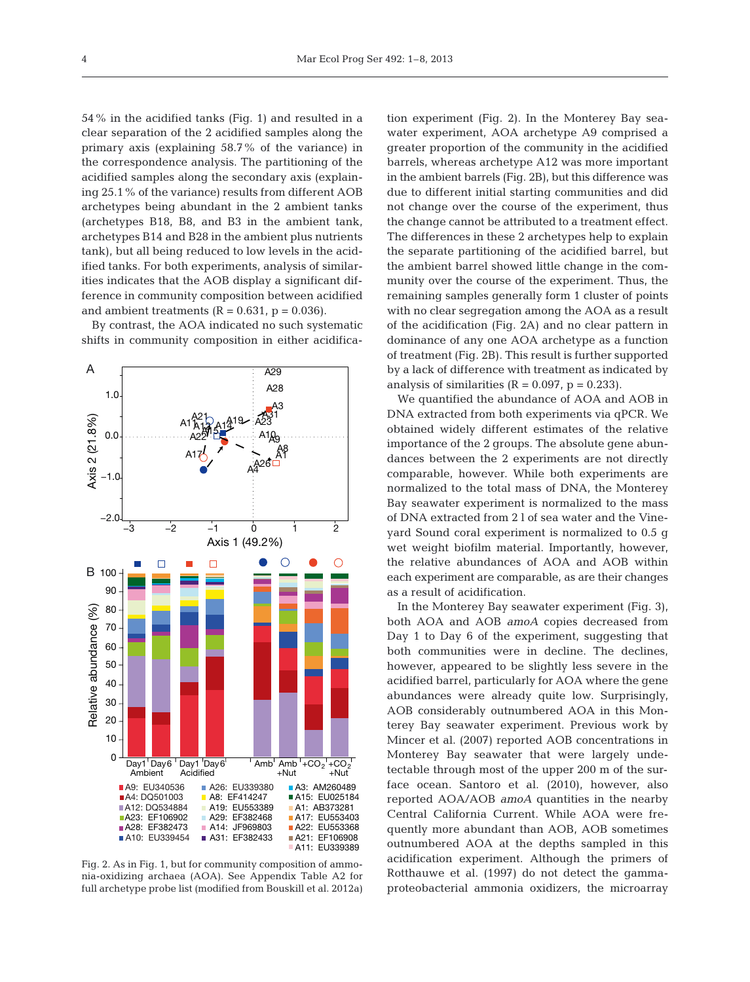54% in the acidified tanks (Fig. 1) and resulted in a clear separation of the 2 acidified samples along the primary axis (explaining 58.7% of the variance) in the correspondence analysis. The partitioning of the acidified samples along the secondary axis (explaining 25.1% of the variance) results from different AOB archetypes being abundant in the 2 ambient tanks (archetypes B18, B8, and B3 in the ambient tank, archetypes B14 and B28 in the ambient plus nutrients tank), but all being reduced to low levels in the acidified tanks. For both experiments, analysis of similarities indicates that the AOB display a significant difference in community composition between acidified and ambient treatments  $(R = 0.631, p = 0.036)$ .

By contrast, the AOA indicated no such systematic shifts in community composition in either acidifica-



Fig. 2. As in Fig. 1, but for community composition of ammonia-oxidizing archaea (AOA). See Appendix Table A2 for full archetype probe list (modified from Bouskill et al. 2012a)

tion experiment (Fig. 2). In the Monterey Bay seawater experiment, AOA archetype A9 comprised a greater proportion of the community in the acidified barrels, whereas archetype A12 was more important in the ambient barrels (Fig. 2B), but this difference was due to different initial starting communities and did not change over the course of the experiment, thus the change cannot be attributed to a treatment effect. The differences in these 2 archetypes help to explain the separate partitioning of the acidified barrel, but the ambient barrel showed little change in the community over the course of the experiment. Thus, the remaining samples generally form 1 cluster of points with no clear segregation among the AOA as a result of the acidification (Fig. 2A) and no clear pattern in dominance of any one AOA archetype as a function of treatment (Fig. 2B). This result is further supported by a lack of difference with treatment as indicated by analysis of similarities  $(R = 0.097, p = 0.233)$ .

We quantified the abundance of AOA and AOB in DNA extracted from both experiments via qPCR. We obtained widely different estimates of the relative importance of the 2 groups. The absolute gene abundances between the 2 experiments are not directly comparable, however. While both experiments are normalized to the total mass of DNA, the Monterey Bay seawater experiment is normalized to the mass of DNA extracted from 2 l of sea water and the Vineyard Sound coral experiment is normalized to 0.5 g wet weight biofilm material. Importantly, however, the relative abundances of AOA and AOB within each experiment are comparable, as are their changes as a result of acidification.

In the Monterey Bay seawater experiment (Fig. 3), both AOA and AOB *amoA* copies decreased from Day 1 to Day 6 of the experiment, suggesting that both communities were in decline. The declines, however, appeared to be slightly less severe in the acidified barrel, particularly for AOA where the gene abundances were already quite low. Surprisingly, AOB considerably outnumbered AOA in this Monterey Bay seawater experiment. Previous work by Mincer et al. (2007) reported AOB concentrations in Monterey Bay seawater that were largely undetectable through most of the upper 200 m of the surface ocean. Santoro et al. (2010), however, also reported AOA/AOB *amoA* quantities in the nearby Central California Current. While AOA were frequently more abundant than AOB, AOB sometimes outnumbered AOA at the depths sampled in this acidification experiment. Although the primers of Rotthauwe et al. (1997) do not detect the gamma proteobacterial ammonia oxidizers, the microarray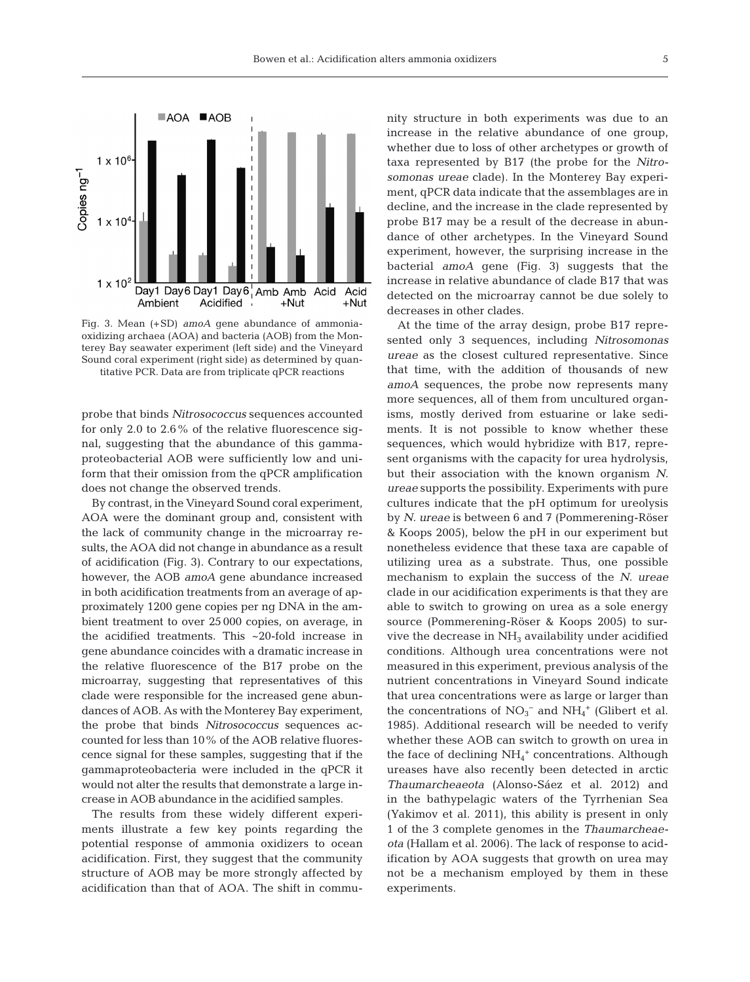

Fig. 3. Mean (+SD) *amoA* gene abundance of ammoniaoxidizing archaea (AOA) and bacteria (AOB) from the Monterey Bay seawater experiment (left side) and the Vineyard Sound coral experiment (right side) as determined by quantitative PCR. Data are from triplicate qPCR reactions

probe that binds *Nitrosococcus* sequences accounted for only 2.0 to 2.6% of the relative fluorescence signal, suggesting that the abundance of this gammaproteobacterial AOB were sufficiently low and uniform that their omission from the qPCR amplification does not change the observed trends.

By contrast, in the Vineyard Sound coral experiment, AOA were the dominant group and, consistent with the lack of community change in the microarray results, the AOA did not change in abundance as a result of acidification (Fig. 3). Contrary to our expectations, however, the AOB *amoA* gene abundance increased in both acidification treatments from an average of approximately 1200 gene copies per ng DNA in the ambient treatment to over 25 000 copies, on average, in the acidified treatments. This ~20-fold increase in gene abundance coincides with a dramatic increase in the relative fluorescence of the B17 probe on the microarray, suggesting that representatives of this clade were responsible for the increased gene abundances of AOB. As with the Monterey Bay experiment, the probe that binds *Nitrosococcus* sequences accounted for less than 10% of the AOB relative fluorescence signal for these samples, suggesting that if the gammaproteobacteria were included in the qPCR it would not alter the results that demonstrate a large increase in AOB abundance in the acidified samples.

The results from these widely different experiments illustrate a few key points regarding the potential response of ammonia oxidizers to ocean acidification. First, they suggest that the community structure of AOB may be more strongly affected by acidification than that of AOA. The shift in community structure in both experiments was due to an increase in the relative abundance of one group, whether due to loss of other archetypes or growth of taxa represented by B17 (the probe for the *Nitrosomonas ureae* clade). In the Monterey Bay experiment, qPCR data indicate that the assemblages are in decline, and the increase in the clade represented by probe B17 may be a result of the decrease in abundance of other archetypes. In the Vineyard Sound experiment, however, the surprising increase in the bacterial *amoA* gene (Fig. 3) suggests that the increase in relative abundance of clade B17 that was detected on the microarray cannot be due solely to decreases in other clades.

At the time of the array design, probe B17 represented only 3 sequences, including *Nitrosomonas ureae* as the closest cultured representative. Since that time, with the addition of thousands of new *amoA* sequences, the probe now represents many more sequences, all of them from uncultured organisms, mostly derived from estuarine or lake sediments. It is not possible to know whether these sequences, which would hybridize with B17, represent organisms with the capacity for urea hydrolysis, but their association with the known organism *N. ureae* supports the possibility. Experiments with pure cultures indicate that the pH optimum for ureolysis by *N. ureae* is between 6 and 7 (Pommerening-Röser & Koops 2005), below the pH in our experiment but nonetheless evidence that these taxa are capable of utilizing urea as a substrate. Thus, one possible mechanism to explain the success of the *N. ureae* clade in our acidification experiments is that they are able to switch to growing on urea as a sole energy source (Pommerening-Röser & Koops 2005) to survive the decrease in  $NH<sub>3</sub>$  availability under acidified conditions. Although urea concentrations were not measured in this experiment, previous analysis of the nutrient concentrations in Vineyard Sound indicate that urea concentrations were as large or larger than the concentrations of  $NO<sub>3</sub><sup>-</sup>$  and  $NH<sub>4</sub><sup>+</sup>$  (Glibert et al. 1985). Additional research will be needed to verify whether these AOB can switch to growth on urea in the face of declining  $\mathrm{NH_4}^+$  concentrations. Although ureases have also recently been detected in arctic *Thaumarcheaeota* (Alonso-Sáez et al. 2012) and in the bathypelagic waters of the Tyrrhenian Sea (Yakimov et al. 2011), this ability is present in only 1 of the 3 complete genomes in the *Thaumarcheae ota* (Hallam et al. 2006). The lack of response to acidification by AOA suggests that growth on urea may not be a mechanism employed by them in these experiments.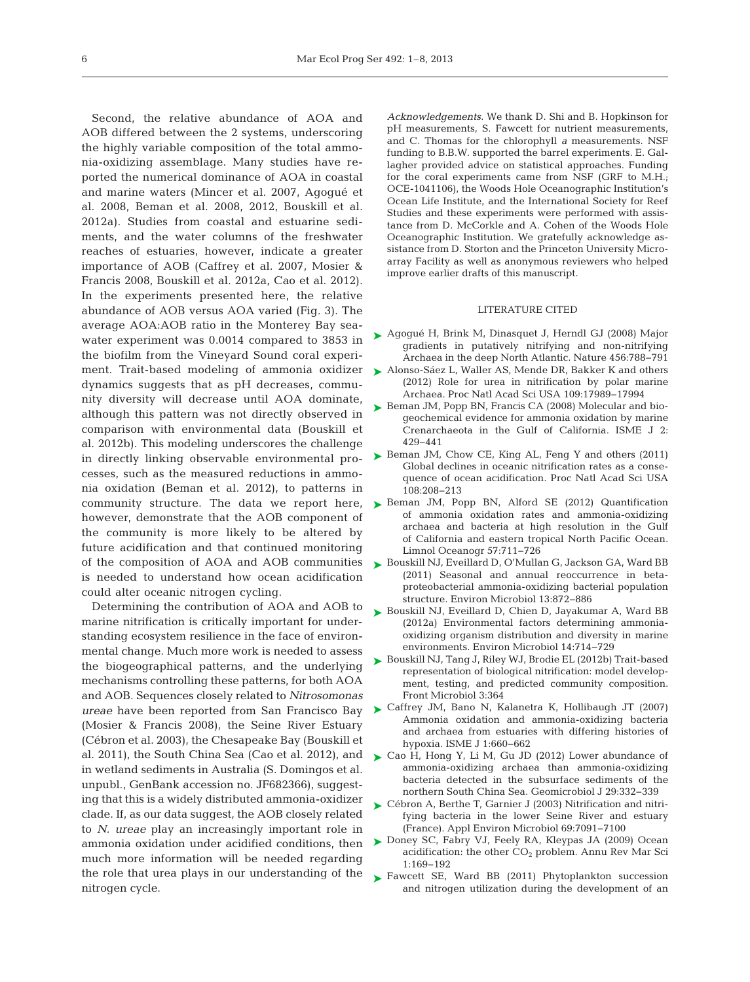Second, the relative abundance of AOA and AOB differed between the 2 systems, underscoring the highly variable composition of the total ammonia-oxidizing assemblage. Many studies have reported the numerical dominance of AOA in coastal and marine waters (Mincer et al. 2007, Agogué et al. 2008, Beman et al. 2008, 2012, Bouskill et al. 2012a). Studies from coastal and estuarine sediments, and the water columns of the freshwater reaches of estuaries, however, indicate a greater importance of AOB (Caffrey et al. 2007, Mosier & Francis 2008, Bouskill et al. 2012a, Cao et al. 2012). In the experiments presented here, the relative abundance of AOB versus AOA varied (Fig. 3). The average AOA:AOB ratio in the Monterey Bay seawater experiment was 0.0014 compared to 3853 in the biofilm from the Vineyard Sound coral experiment. Trait-based modeling of ammonia oxidizer dynamics suggests that as pH decreases, community diversity will decrease until AOA dominate, although this pattern was not directly observed in comparison with environmental data (Bouskill et al. 2012b). This modeling underscores the challenge in directly linking observable environmental processes, such as the measured reductions in ammonia oxidation (Beman et al. 2012), to patterns in community structure. The data we report here, however, demonstrate that the AOB component of the community is more likely to be altered by future acidification and that continued monitoring of the composition of AOA and AOB communities is needed to understand how ocean acidification could alter oceanic nitrogen cycling.

Determining the contribution of AOA and AOB to marine nitrification is critically important for understanding ecosystem resilience in the face of environmental change. Much more work is needed to assess the biogeographical patterns, and the underlying mechanisms controlling these patterns, for both AOA and AOB. Sequences closely related to *Nitrosomonas ureae* have been reported from San Francisco Bay (Mosier & Francis 2008), the Seine River Estuary (Cébron et al. 2003), the Chesapeake Bay (Bouskill et al. 2011), the South China Sea (Cao et al. 2012), and in wetland sediments in Australia (S. Domingos et al. unpubl., GenBank accession no. JF682366), suggesting that this is a widely distributed ammonia-oxidizer clade. If, as our data suggest, the AOB closely related to *N. ureae* play an increasingly important role in ammonia oxidation under acidified conditions, then much more information will be needed regarding the role that urea plays in our understanding of the nitrogen cycle.

*Acknowledgements.* We thank D. Shi and B. Hopkinson for pH measurements, S. Fawcett for nutrient measurements, and C. Thomas for the chlorophyll *a* measurements. NSF funding to B.B.W. supported the barrel experiments. E. Gallagher provided advice on statistical approaches. Funding for the coral experiments came from NSF (GRF to M.H.; OCE-1041106), the Woods Hole Oceanographic Institution's Ocean Life Institute, and the International Society for Reef Studies and these experiments were performed with assistance from D. McCorkle and A. Cohen of the Woods Hole Oceanographic Institution. We gratefully acknowledge as sistance from D. Storton and the Princeton University Microarray Facility as well as anonymous reviewers who helped improve earlier drafts of this manuscript.

#### LITERATURE CITED

- ► [Agogué H, Brink M, Dinasquet J, Herndl GJ \(2008\) Major](http://dx.doi.org/10.1038/nature07535) gradients in putatively nitrifying and non-nitrifying Archaea in the deep North Atlantic. Nature 456:788−791
- ► [Alonso-Sáez L, Waller AS, Mende DR, Bakker K and others](http://dx.doi.org/10.1073/pnas.1201914109) (2012) Role for urea in nitrification by polar marine Archaea. Proc Natl Acad Sci USA 109:17989−17994
- ► [Beman JM, Popp BN, Francis CA \(2008\) Molecular and bio](http://dx.doi.org/10.1038/ismej.2007.118)geochemical evidence for ammonia oxidation by marine Crenarchaeota in the Gulf of California. ISME J 2: 429−441
- ▶ [Beman JM, Chow CE, King AL, Feng Y and others \(2011\)](http://dx.doi.org/10.1073/pnas.1011053108) Global declines in oceanic nitrification rates as a consequence of ocean acidification. Proc Natl Acad Sci USA 108:208−213
- ▶ [Beman JM, Popp BN, Alford SE \(2012\) Quantification](http://dx.doi.org/10.4319/lo.2012.57.3.0711) of ammonia oxidation rates and ammonia-oxidizing archaea and bacteria at high resolution in the Gulf of California and eastern tropical North Pacific Ocean. Limnol Oceanogr 57:711−726
- ▶ [Bouskill NJ, Eveillard D, O'Mullan G, Jackson GA, Ward BB](http://dx.doi.org/10.1111/j.1462-2920.2010.02362.x) (2011) Seasonal and annual reoccurrence in betaproteobacterial ammonia-oxidizing bacterial population structure. Environ Microbiol 13:872−886
- ▶ [Bouskill NJ, Eveillard D, Chien D, Jayakumar A, Ward BB](http://dx.doi.org/10.1111/j.1462-2920.2011.02623.x) (2012a) Environmental factors determining ammoniaoxidizing organism distribution and diversity in marine environments. Environ Microbiol 14:714−729
- [Bouskill NJ, Tang J, Riley WJ, Brodie EL \(2012b\) Trait-based](http://dx.doi.org/10.3389/fmicb.2012.00364) ➤ representation of biological nitrification: model development, testing, and predicted community composition. Front Microbiol 3:364
- [Caffrey JM, Bano N, Kalanetra K, Hollibaugh JT \(2007\)](http://dx.doi.org/10.1038/ismej.2007.79) ➤ Ammonia oxidation and ammonia-oxidizing bacteria and archaea from estuaries with differing histories of hypoxia. ISME J 1:660−662
- ► [Cao H, Hong Y, Li M, Gu JD \(2012\) Lower abundance of](http://dx.doi.org/10.1080/01490451.2011.559304) ammonia-oxidizing archaea than ammonia-oxidizing bacteria detected in the subsurface sediments of the northern South China Sea. Geomicrobiol J 29:332−339
- [Cébron A, Berthe T, Garnier J \(2003\) Nitrification and nitri-](http://dx.doi.org/10.1128/AEM.69.12.7091-7100.2003)➤ fying bacteria in the lower Seine River and estuary (France). Appl Environ Microbiol 69:7091−7100
- ► [Doney SC, Fabry VJ, Feely RA, Kleypas JA \(2009\) Ocean](http://dx.doi.org/10.1146/annurev.marine.010908.163834) acidification: the other  $CO<sub>2</sub>$  problem. Annu Rev Mar Sci 1:169−192
- ▶ [Fawcett SE, Ward BB \(2011\) Phytoplankton succession](http://dx.doi.org/10.3354/meps09070) and nitrogen utilization during the development of an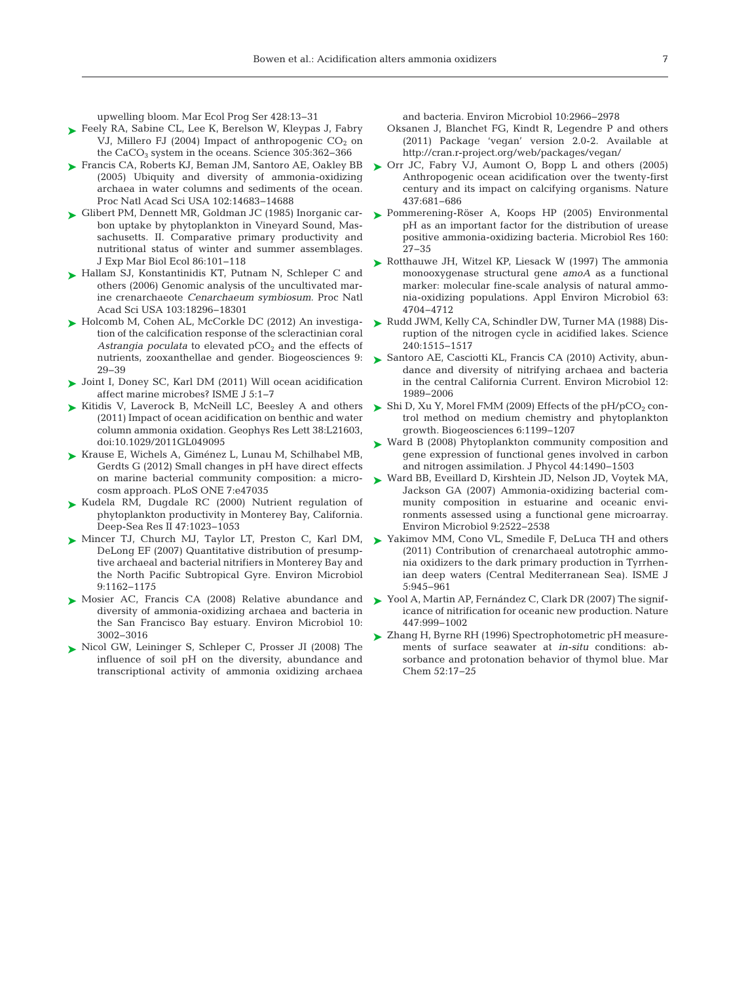upwelling bloom. Mar Ecol Prog Ser 428:13−31

- ► [Feely RA, Sabine CL, Lee K, Berelson W, Kleypas J, Fabry](http://dx.doi.org/10.1126/science.1097329) VJ, Millero FJ (2004) Impact of anthropogenic  $CO<sub>2</sub>$  on the CaCO3 system in the oceans. Science 305:362−366
- ► [Francis CA, Roberts KJ, Beman JM, Santoro AE, Oakley BB](http://dx.doi.org/10.1073/pnas.0506625102) (2005) Ubiquity and diversity of ammonia-oxidizing archaea in water columns and sediments of the ocean. Proc Natl Acad Sci USA 102:14683−14688
- [Glibert PM, Dennett MR, Goldman JC \(1985\) Inorganic car-](http://dx.doi.org/10.1016/0022-0981(85)90025-5)➤ bon uptake by phytoplankton in Vineyard Sound, Massachusetts. II. Comparative primary productivity and nutritional status of winter and summer assemblages. J Exp Mar Biol Ecol 86:101−118
- ► [Hallam SJ, Konstantinidis KT, Putnam N, Schleper C and](http://dx.doi.org/10.1073/pnas.0608549103) others (2006) Genomic analysis of the uncultivated marine crenarchaeote *Cenarchaeum symbiosum.* Proc Natl Acad Sci USA 103:18296−18301
- ► [Holcomb M, Cohen AL, McCorkle DC \(2012\) An investiga](http://dx.doi.org/10.5194/bg-9-29-2012)tion of the calcification response of the scleractinian coral Astrangia poculata to elevated  $pCO<sub>2</sub>$  and the effects of nutrients, zooxanthellae and gender. Biogeosciences 9: 29−39
- [Joint I, Doney SC, Karl DM \(2011\) Will ocean acidification](http://dx.doi.org/10.1038/ismej.2010.79) ➤ affect marine microbes? ISME J 5:1−7
- ► [Kitidis V, Laverock B, McNeill LC, Beesley A and others](http://dx.doi.org/10.1029/2011GL049095) (2011) Impact of ocean acidification on benthic and water column ammonia oxidation. Geophys Res Lett 38:L21603, doi:10.1029/2011GL049095
- [Krause E, Wichels A, Giménez L, Lunau M, Schilhabel MB,](http://dx.doi.org/10.1371/journal.pone.0047035) ➤ Gerdts G (2012) Small changes in pH have direct effects on marine bacterial community composition: a microcosm approach. PLoS ONE 7:e47035
- ▶ [Kudela RM, Dugdale RC \(2000\) Nutrient regulation of](http://dx.doi.org/10.1016/S0967-0645(99)00135-6) phytoplankton productivity in Monterey Bay, California. Deep-Sea Res II 47:1023−1053
- ▶ [Mincer TJ, Church MJ, Taylor LT, Preston C, Karl DM,](http://dx.doi.org/10.1111/j.1462-2920.2007.01239.x) DeLong EF (2007) Quantitative distribution of presumptive archaeal and bacterial nitrifiers in Monterey Bay and the North Pacific Subtropical Gyre. Environ Microbiol 9:1162−1175
- ▶ [Mosier AC, Francis CA \(2008\) Relative abundance and](http://dx.doi.org/10.1111/j.1462-2920.2008.01764.x) diversity of ammonia-oxidizing archaea and bacteria in the San Francisco Bay estuary. Environ Microbiol 10: 3002−3016
- ▶ [Nicol GW, Leininger S, Schleper C, Prosser JI \(2008\) The](http://dx.doi.org/10.1111/j.1462-2920.2008.01701.x) influence of soil pH on the diversity, abundance and transcriptional activity of ammonia oxidizing archaea

and bacteria. Environ Microbiol 10:2966−2978

- Oksanen J, Blanchet FG, Kindt R, Legendre P and others (2011) Package 'vegan' version 2.0-2. Available at http://cran.r-project.org/web/packages/vegan/
- ▶ [Orr JC, Fabry VJ, Aumont O, Bopp L and others \(2005\)](http://dx.doi.org/10.1038/nature04095) Anthropogenic ocean acidification over the twenty-first century and its impact on calcifying organisms. Nature 437:681−686
- ▶ [Pommerening-Röser A, Koops HP \(2005\) Environmental](http://dx.doi.org/10.1016/j.micres.2004.09.006) pH as an important factor for the distribution of urease positive ammonia-oxidizing bacteria. Microbiol Res 160: 27−35
- ► [Rotthauwe JH, Witzel KP, Liesack W \(1997\) The ammonia](http://www.ncbi.nlm.nih.gov/entrez/query.fcgi?cmd=Retrieve&db=PubMed&list_uids=9406389&dopt=Abstract) monooxygenase structural gene *amoA* as a functional marker: molecular fine-scale analysis of natural ammonia-oxidizing populations. Appl Environ Microbiol 63: 4704−4712
- [Rudd JWM, Kelly CA, Schindler DW, Turner MA \(1988\) Dis-](http://dx.doi.org/10.1126/science.240.4858.1515)➤ ruption of the nitrogen cycle in acidified lakes. Science 240:1515−1517
- ► [Santoro AE, Casciotti KL, Francis CA \(2010\) Activity, abun](http://dx.doi.org/10.1111/j.1462-2920.2010.02205.x)dance and diversity of nitrifying archaea and bacteria in the central California Current. Environ Microbiol 12: 1989−2006
- $\blacktriangleright$  Shi D, Xu Y, Morel FMM (2009) Effects of the pH/pCO<sub>2</sub> control method on medium chemistry and phytoplankton growth. Biogeosciences 6:1199−1207
- ► [Ward B \(2008\) Phytoplankton community composition and](http://dx.doi.org/10.1111/j.1529-8817.2008.00594.x) gene expression of functional genes involved in carbon and nitrogen assimilation. J Phycol 44:1490−1503
- [Ward BB, Eveillard D, Kirshtein JD, Nelson JD, Voytek MA,](http://dx.doi.org/10.1111/j.1462-2920.2007.01371.x) ➤ Jackson GA (2007) Ammonia-oxidizing bacterial community composition in estuarine and oceanic environments assessed using a functional gene microarray. Environ Microbiol 9:2522−2538
- ► [Yakimov MM, Cono VL, Smedile F, DeLuca TH and others](http://dx.doi.org/10.1038/ismej.2010.197) (2011) Contribution of crenarchaeal autotrophic ammonia oxidizers to the dark primary production in Tyrrhenian deep waters (Central Mediterranean Sea). ISME J 5:945−961
- [Yool A, Martin AP, Fernández C, Clark DR \(2007\) The signif-](http://dx.doi.org/10.1038/nature05885)➤ icance of nitrification for oceanic new production. Nature 447:999−1002
- [Zhang H, Byrne RH \(1996\) Spectrophotometric pH measure-](http://dx.doi.org/10.1016/0304-4203(95)00076-3)➤ments of surface seawater at *in-situ* conditions: absorbance and protonation behavior of thymol blue. Mar Chem 52:17−25